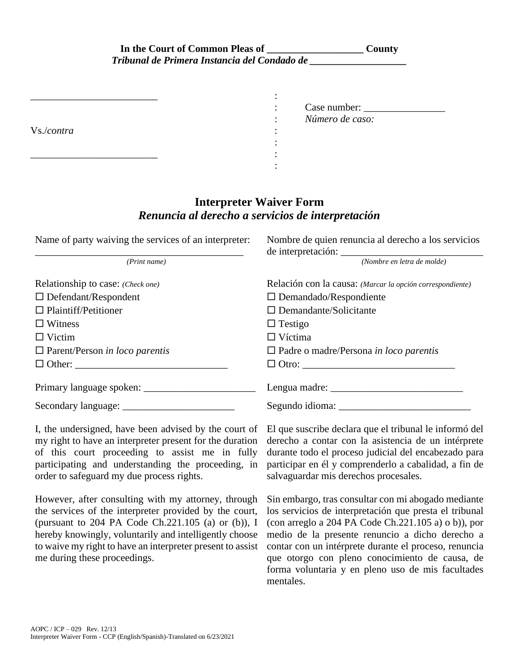| In the Court of Common Pleas of              | County |
|----------------------------------------------|--------|
| Tribunal de Primera Instancia del Condado de |        |

| Vs./contra | Case number:<br>$\bullet$<br>$\bullet$<br>Número de caso:<br>٠ |
|------------|----------------------------------------------------------------|
|            |                                                                |

## **Interpreter Waiver Form** *Renuncia al derecho a servicios de interpretación*

| Name of party waiving the services of an interpreter: | Nombre de quien renuncia al derecho a los servicios       |
|-------------------------------------------------------|-----------------------------------------------------------|
| (Print name)                                          | (Nombre en letra de molde)                                |
| Relationship to case: (Check one)                     | Relación con la causa: (Marcar la opción correspondiente) |
| $\Box$ Defendant/Respondent                           | $\square$ Demandado/Respondiente                          |
| $\Box$ Plaintiff/Petitioner                           | $\Box$ Demandante/Solicitante                             |
| $\Box$ Witness                                        | $\Box$ Testigo                                            |
| $\Box$ Victim                                         | $\Box$ Víctima                                            |
| $\Box$ Parent/Person in loco parentis                 | $\Box$ Padre o madre/Persona in loco parentis             |
| $\Box$ Other:                                         |                                                           |
|                                                       | Lengua madre: $\frac{1}{2}$                               |
|                                                       |                                                           |

I, the undersigned, have been advised by the court of my right to have an interpreter present for the duration of this court proceeding to assist me in fully participating and understanding the proceeding, in order to safeguard my due process rights.

However, after consulting with my attorney, through the services of the interpreter provided by the court, (pursuant to 204 PA Code Ch.221.105 (a) or (b)), I hereby knowingly, voluntarily and intelligently choose to waive my right to have an interpreter present to assist me during these proceedings.

El que suscribe declara que el tribunal le informó del derecho a contar con la asistencia de un intérprete durante todo el proceso judicial del encabezado para participar en él y comprenderlo a cabalidad, a fin de salvaguardar mis derechos procesales.

Sin embargo, tras consultar con mi abogado mediante los servicios de interpretación que presta el tribunal (con arreglo a 204 PA Code Ch.221.105 a) o b)), por medio de la presente renuncio a dicho derecho a contar con un intérprete durante el proceso, renuncia que otorgo con pleno conocimiento de causa, de forma voluntaria y en pleno uso de mis facultades mentales.